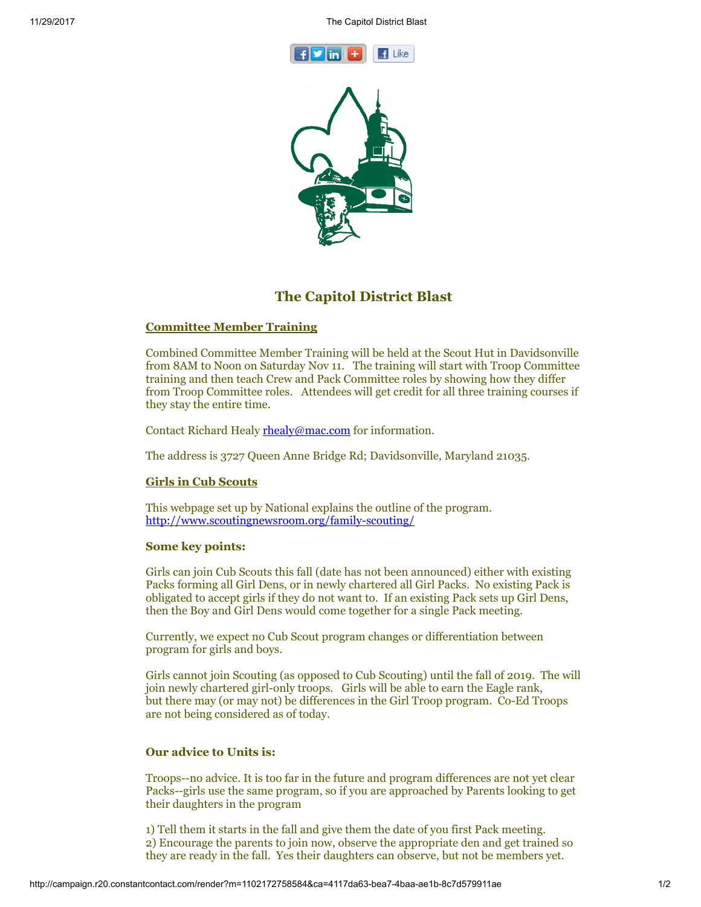



# The Capitol District Blast

## Committee Member Training

Combined Committee Member Training will be held at the Scout Hut in Davidsonville from 8AM to Noon on Saturday Nov 11. The training will start with Troop Committee training and then teach Crew and Pack Committee roles by showing how they differ from Troop Committee roles. Attendees will get credit for all three training courses if they stay the entire time.

Contact Richard Healy [rhealy@mac.com](mailto:rhealy@mac.com) for information.

The address is 3727 Queen Anne Bridge Rd; Davidsonville, Maryland 21035.

### Girls in Cub Scouts

This webpage set up by National explains the outline of the program. <http://www.scoutingnewsroom.org/family-scouting/>

### Some key points:

Girls can join Cub Scouts this fall (date has not been announced) either with existing Packs forming all Girl Dens, or in newly chartered all Girl Packs. No existing Pack is obligated to accept girls if they do not want to. If an existing Pack sets up Girl Dens, then the Boy and Girl Dens would come together for a single Pack meeting.

Currently, we expect no Cub Scout program changes or differentiation between program for girls and boys.

Girls cannot join Scouting (as opposed to Cub Scouting) until the fall of 2019. The will join newly chartered girl-only troops. Girls will be able to earn the Eagle rank, but there may (or may not) be differences in the Girl Troop program. Co-Ed Troops are not being considered as of today.

### Our advice to Units is:

Troops--no advice. It is too far in the future and program differences are not yet clear Packs--girls use the same program, so if you are approached by Parents looking to get their daughters in the program

1) Tell them it starts in the fall and give them the date of you first Pack meeting. 2) Encourage the parents to join now, observe the appropriate den and get trained so they are ready in the fall. Yes their daughters can observe, but not be members yet.